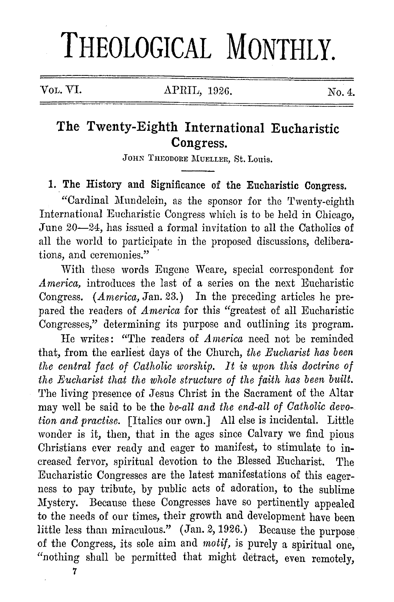## **THEOLOGICAL MONTHLY.**

## **The Twenty-Eighth International Eucharistic Congress.**

JOHN THEODORE MUELLER, St. Louis.

## **1. The** History and Significance of the Eucharistic Congress.

"Cardinal Mundelein, as the sponsor for the Twenty-eighth International Eucharistic Congress which is to be held in Chicago, June 20-24, has issued a formal invitation to all the Catholics of all the world to participate in the proposed discussions, deliberations, and ceremonies."

With these words Eugene Weare, special correspondent for *America,* introduces the last of a series on the next Eucharistic Congress. (*America*, Jan. 23.) In the preceding articles he prepared the readers of *America* for this "greatest of all Eucharistic Congresses," determining its purpose and outlining its program.

He writes: "The readers of *America* need not be reminded that, from the earliest days of the Church, *the Eucharist has been the central fact of Catholic worship. It is upon this doctrine of the Eucharist that the whole structure of the faith has been built.*  The living presence of Jesus Christ in the Sacrament of the Altar may well be said to be the *be-all and the end-all of Catholic devotion and pract-ise.* [Italics our own.] All else is incidental. Little wonder is it, then, that in the ages since Calvary we find pious Christians ever ready and eager to manifest, to stimulate to increased fervor, spiritual devotion to the Blessed Eucharist. The Eucharistic Congresses are the latest manifestations of this eagerness to pay tribute, by public acts of adoration, to the sublime Mystery. Because these Congresses have so pertinently appealed to the needs of our times, their growth and development have been little less than miraculous." (Jan. 2, 1926.) Because the purpose of the Congress, its sole aim and *motif,* is purely a spiritual one, "nothing shall be permitted that might detract, even remotely,

7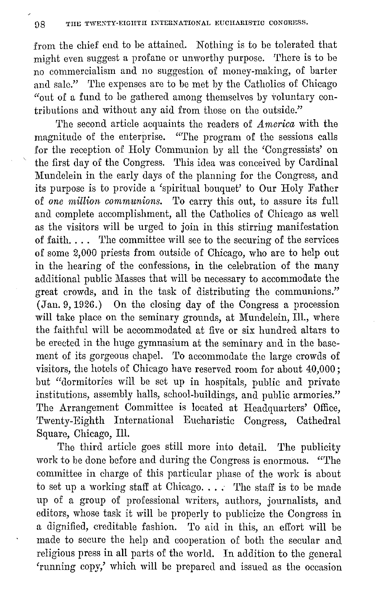from the chief end to be attained. Nothing is to be tolerated that might even suggest a profane or unworthy purpose. There is to be no commercialism and no suggestion of money-making, of barter and sale." The expenses are to be met by the Catholics of Chicago "out of a fund to be gathered among themselves by voluntary contributions and without any aid from those on the outside."

'l'he second article acquaints the readers of *America* with the magnitude of the enterprise. "The program of the sessions calls for the reception of Holy Communion by all the 'Congressists' on the first day of the Congress. This idea was conceived by Cardinal Mundelein in the early days of the planning for the Congress, and its purpose is to provide a 'spiritual bouquet' to Our Holy Father of *one million communions*. To carry this out, to assure its full and complete accomplishment, all the Catholics of Chicago as well as the visitors will be urged to join in this stirring manifestation of faith.... The committee will see to the securing of the services of some 2,000 priests from outside of Chicago, who are to help out in the hearing of the confessions, in the celebration of the many additional public Masses that will be necessary to accommodate the great crowds, and in the task of distributing the communions." (Jan. 9, 1926.) On the closing day of the Congress a procession will take place on the seminary grounds, at Mundelein, Ill., where the faithful will be accommodated at five or six hundred altars to be erected in the huge gymnasium at the seminary and in the basement of its gorgeous chapel. To accommodate the large crowds of visitors, the hotels of Chicago have reserved room for about 40,000; but "dormitories will be set up in hospitals, public and private institutions, assembly halls, school-buildings, and public armories." The Arrangement Committee is located at Headquarters' Office, Twenty-Eighth International Eucharistic Congress, Cathedral Square, Chicago, Ill.

The third article goes still more into detail. The publicity work to be done before and during the Congress is enormous. "The committee in charge of this particular phase of the work is about to set up a working staff at Chicago.... The staff is to be made up of a group of professional writers, authors, journalists, and editors, whose task it will be properly to publicize the Congress in a dignified, creditable fashion. 'l'o aid in this, an effort will be made to secure the help and cooperation of both the secular and religious press in all parts of the world. In addition to the general 'running copy,' which will be prepared and issued as the occasion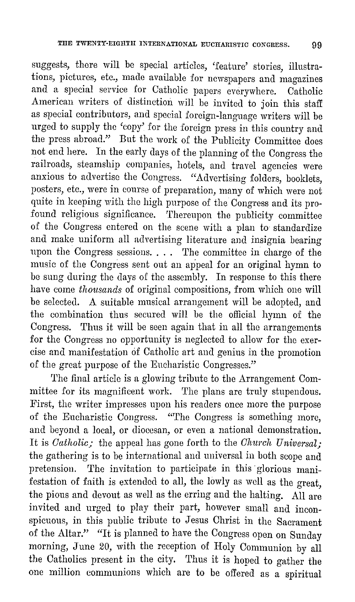suggests, there will be special articles, 'feature' stories, illustrations, pictures, etc., made available for newspapers and magazines and a special service for Catholic papers everywhere. Catholic American writers of distinction will be invited to join this staff as special contributors, and special foreign-language writers will be urged to supply the 'copy' for the foreign press in this country and the press abroad." But the work of the Publicity Committee does not end here. In the early days of the planning of the Congress the railroads, steamship companies, hotels, and travel agencies were anxious to advertise the Congress. "Advertising folders, booklets, posters, etc., were in course of preparation, many of which were not quite in keeping with the high purpose of the Congress and its profound religious significance. Thereupon the publicity committee of the Congress entered on the scene with a plan to standardize and make uniform all advertising literature and insignia bearing upon the Congress sessions. . . . The committee in charge of the music of the Congress sent out an appeal for an original hymn to be sung during the days of the assembly. In response to this there have come *thousands* of original compositions, from which one will be selected. A suitable musical arrangement will be adopted, and the combination thus secured will be the official hymn of the Congress. Thus it will be seen again that in all the arrangements for the Congress no opportunity is neglected to allow for the exercise and manifestation of Catholic art and genius in the promotion of the great purpose of the Eucharistic Congresses."

'l'he final article is a glowing tribute to the Arrangement Committee for its magnificent work. The plans are truly stupendous. First, the writer impresses upon his readers once more the purpose of the Eucharistic Congress. "The Congress is something more, and beyond a local, or diocesan, or even a national demonstration. It is *Catholic*; the appeal has gone forth to the *Church Universal*; the gathering is to be international and universal in both scope and pretension. The invitation to participate in this glorious manifestation of faith is extended to all, the lowly as well as the great, the pious and devout as well as the erring and the halting. All are invited and urged to play their part, however small and inconspicuous, in this public tribute to Jesus Christ in the Sacrament of the Altar." "It is planned to have the Congress open on Sunday morning, June 20, with the reception of Holy Communion by all the Catholics present in the city. Thus it is hoped to gather the one million communions which are to be offered as a spiritual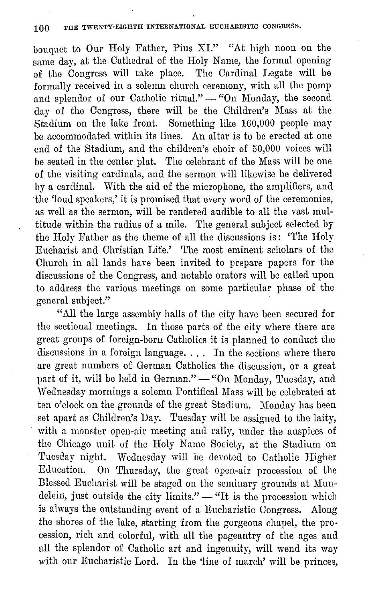bouquet to Our Holy Father, Pius XL" "At high noon on the same day, at the Cathedral of the Holy Name, the formal opening of the Congress will take place. The Cardinal Legate will be formally received in a solemn church ceremony, with all the pomp and splendor of our Catholic ritual." - "On Monday, the second day of the Congress, there will be the Children's Mass at the Stadium on the lake front. Something like 160,000 people may be accommodated within its lines. An altar is to be erected at one end of the Stadium, and the children's choir of 50,000 voices will be seated in the center plat. The celebrant of the Mass will be one of the visiting cardinals, and the sermon will likewise be delivered by a cardinal. With the aid of the microphone, the amplifiers, and the 'loud speakers,' it is promised that every word of the ceremonies, as well as the sermon, will be rendered audible to all the vast multitude within the radius of a mile. The general subject selected by the Holy Father as the theme of all the discussions is: 'The Holy Eucharist and Christian Life.' 'l'he most eminent scholars of the Church in all lands have been invited to prepare papers for the discussions of the Congress, and notable orators will be called upon to address the various meetings on some particular phase of the general subject."

"All the large assembly halls of the city have been secured for the sectional meetings. In those parts of the city where there are great groups of foreign-born Catholics it is planned to conduct the discussions in a foreign language. . . . In the sections where there are great numbers of German Catholics the discussion, or a great part of it, will be held in German." - "On Monday, Tuesday, and Wednesday mornings a solemn Pontifical Mass will be celebrated at ten o'clock on the grounds of the great Stadium. Monday has been set apart as Children's Day. Tuesday will be assigned to the laity, with a monster open-air meeting and rally, under the auspices of the Chicago unit of the Holy Name Society, at the Stadium on Tuesday night. Wednesday will be devoted to Catholic Higher Education. On 'l'hursday, the great open-air procession of the Blessed Eucharist will be staged on the seminary grounds at Mundelein, just outside the city  $\overline{\lim}$  its."  $-$  "It is the procession which is always the outstanding event of a Eucharistic Congress. Along the shores of the lake, starting from the gorgeous chapel, the procession, rich and colorful, with all the pageantry of the ages and all the splendor of Catholic art and ingenuity, will wend its way with our Eucharistic Lord. In the 'line of march' will be princes,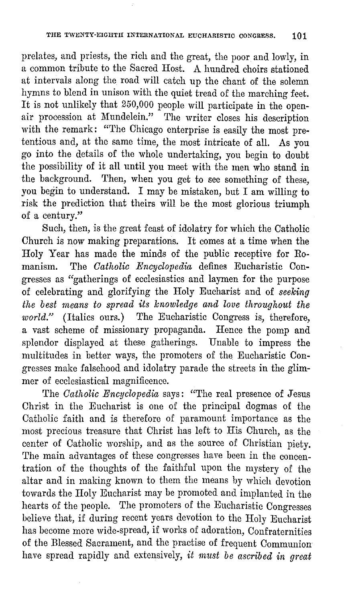prelates, and priests, the rich and the great, the poor and lowly, in<br>a common tribute to the Sacred Host. A hundred choirs stationed a common tribute to the Sacred Host. A hundred choirs stationed at intervals along the road will catch up the chant of the solemn hymns to blend in unison with the quiet tread of the marching feet. It is not unlikely that 250,000 people will participate in the openair procession at Mundelein." The writer closes his description with the remark: "The Chicago enterprise is easily the most pretentious and, at the same time, the most intricate of all. As you go into the details of the whole undertaking, you begin to doubt the possibility of it all until you meet with the men who stand in the background. Then, when you get to see something of these, you begin to understand. I may be mistaken, but I am willing to risk the prediction that theirs will be the most glorious triumph of a century."

Such, then, is the great feast of idolatry for which the Catholic Church is now making preparations. It comes at a time when the Holy Year has made the minds of the public receptive for Romanism. The *Catholic Encyclopedia* defines Eucharistic Congresses as "gatherings of ecclesiastics and laymen for the purpose of celebrating and glorifying the Holy Eucharist and of *seeking the best rneans to spread its knowledge and love throughout the*  world." (Italics ours.) The Eucharistic Congress is, therefore, a vast scheme of missionary propaganda. Hence the pomp and splendor displayed at these gatherings. Unable to impress the multitudes in better ways, the promoters of the Eucharistic Congresses make falsehood and idolatry parade the streets in the glimmer of ecclesiastical magnificence.

The *Catholic Encyclopedia* says: "The real presence of Jesus Christ in the Eucharist is one of the principal dogmas of the Catholic faith and is therefore of paramount importance as the most precious treasure that Christ has left to His Church, as the center of Catholic worship, and as the source of Christian piety. The main advantages of these congresses have been in the concentration of the thoughts of the faithful upon the mystery of the altar and in making known to them the means hy which devotion towards the Holy Eucharist may be promoted and implanted in the hearts of the people. The promoters of the Eucharistic Congresses believe that, if during recent years devotion to the Holy Eucharist has become more wide-spread, if works of adoration, Confraternities of the Blessed Sacrament, and the practise of frequent Communion have spread rapidly and extensively, *it must be ascribed in great*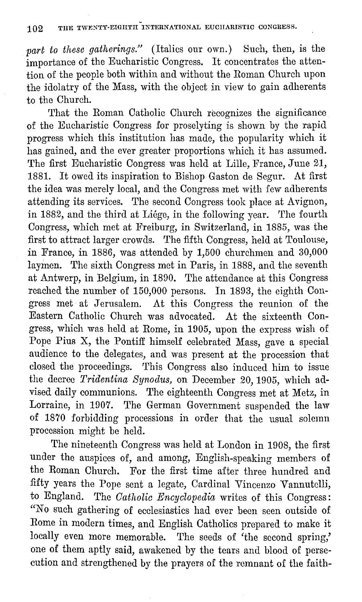*part to these gatherings.*" (Italics our own.) Such, then, is the importance of the Eucharistic Congress. It concentrates the attention of the people both within and without the Roman Church upon the idolatry of the Mass, with the object in view to gain adherents to the Church.

That the Roman Catholic Church recognizes the significance of the Eucharistic Congress for proselyting is shown by the rapid progress which this institution has made, the popularity which it has gained, and the ever greater proportions which it has assumed. The first Eucharistic Congress was held at Lille, France, June 21, 1881. It owed its inspiration to Bishop Gaston de Segur. At first the idea was merely local, and the Congress met with few adherents attending its services. The second Congress took place at Avignon, in 1882, and the third at Liége, in the following year. The fourth Congress, which met at Freiburg, in Switzerland, in 1885, was the first to attract larger crowds. The fifth Congress, held at Toulouse, in France, in 1886, was attended by 1,500 churchmen and 30,000 laymen. The sixth Congress met in Paris, in 1888, and the seventh at Antwerp, in Belgium, in 1890. The attendance at this Congress reached the number of 150,000 persons. In 1893, the eighth Congress met at Jerusalem. At this Congress the reunion of the Eastern Catholic Church was advocated. At the sixteenth Congress, which was held at Rome, in 1905, upon the express wish of Pope Pius X, the Pontiff himself celebrated Mass, gave a special audience to the delegates, and was present at the procession that closed the proceedings. This Congress also induced him to issue the decree *Tridentina Synodus,* on December 20, 1905, which advised daily communions. The eighteenth Congress met at Metz, in Lorraine, in 1907. The German Government suspended the law of 1870 forbidding processions in order that the usual solemn procession might be held.

The nineteenth Congress was held at London in 1908, the first under the auspices of, and among, English-speaking members of the Roman Church. For the first time after three hundred and fifty years the Pope sent a legate, Cardinal Vincenzo Vannutelli, to England. The *Catholic Encyclopedia* writes of this Congress: "No such gathering of ecclesiastics had ever been seen outside of Rome in modern times, and English Catholics prepared to make it locally even more memorable. The seeds of 'the second spring,' one of them aptly said, awakened by the tears and blood of persecution and strengthened by the prayers of the remnant of the faith